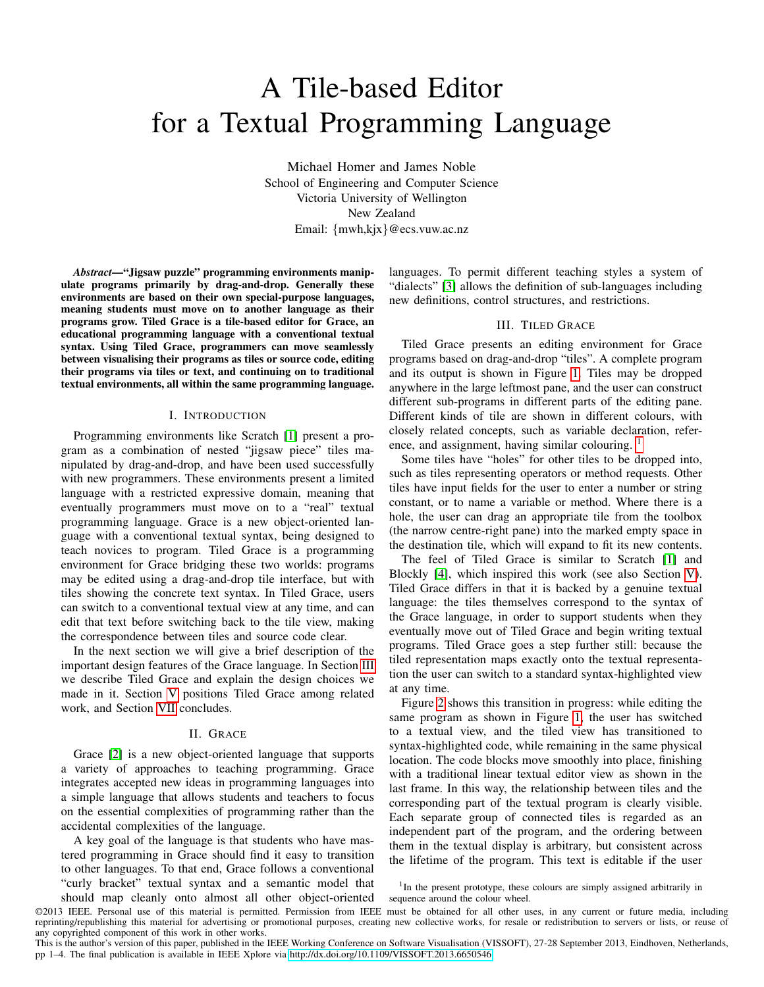# <span id="page-0-1"></span>A Tile-based Editor for a Textual Programming Language

Michael Homer and James Noble School of Engineering and Computer Science Victoria University of Wellington New Zealand Email: {mwh,kjx}@ecs.vuw.ac.nz

*Abstract*—"Jigsaw puzzle" programming environments manipulate programs primarily by drag-and-drop. Generally these environments are based on their own special-purpose languages, meaning students must move on to another language as their programs grow. Tiled Grace is a tile-based editor for Grace, an educational programming language with a conventional textual syntax. Using Tiled Grace, programmers can move seamlessly between visualising their programs as tiles or source code, editing their programs via tiles or text, and continuing on to traditional textual environments, all within the same programming language.

# I. INTRODUCTION

Programming environments like Scratch [\[1\]](#page-3-0) present a program as a combination of nested "jigsaw piece" tiles manipulated by drag-and-drop, and have been used successfully with new programmers. These environments present a limited language with a restricted expressive domain, meaning that eventually programmers must move on to a "real" textual programming language. Grace is a new object-oriented language with a conventional textual syntax, being designed to teach novices to program. Tiled Grace is a programming environment for Grace bridging these two worlds: programs may be edited using a drag-and-drop tile interface, but with tiles showing the concrete text syntax. In Tiled Grace, users can switch to a conventional textual view at any time, and can edit that text before switching back to the tile view, making the correspondence between tiles and source code clear.

In the next section we will give a brief description of the important design features of the Grace language. In Section [III](#page-0-0) we describe Tiled Grace and explain the design choices we made in it. Section [V](#page-2-0) positions Tiled Grace among related work, and Section [VII](#page-3-1) concludes.

### II. GRACE

Grace [\[2\]](#page-3-2) is a new object-oriented language that supports a variety of approaches to teaching programming. Grace integrates accepted new ideas in programming languages into a simple language that allows students and teachers to focus on the essential complexities of programming rather than the accidental complexities of the language.

A key goal of the language is that students who have mastered programming in Grace should find it easy to transition to other languages. To that end, Grace follows a conventional "curly bracket" textual syntax and a semantic model that

should map cleanly onto almost all other object-oriented

languages. To permit different teaching styles a system of "dialects" [\[3\]](#page-3-3) allows the definition of sub-languages including new definitions, control structures, and restrictions.

#### III. TILED GRACE

<span id="page-0-0"></span>Tiled Grace presents an editing environment for Grace programs based on drag-and-drop "tiles". A complete program and its output is shown in Figure [1.](#page-1-0) Tiles may be dropped anywhere in the large leftmost pane, and the user can construct different sub-programs in different parts of the editing pane. Different kinds of tile are shown in different colours, with closely related concepts, such as variable declaration, reference, and assignment, having similar colouring. <sup>1</sup>

Some tiles have "holes" for other tiles to be dropped into, such as tiles representing operators or method requests. Other tiles have input fields for the user to enter a number or string constant, or to name a variable or method. Where there is a hole, the user can drag an appropriate tile from the toolbox (the narrow centre-right pane) into the marked empty space in the destination tile, which will expand to fit its new contents.

The feel of Tiled Grace is similar to Scratch [\[1\]](#page-3-0) and Blockly [\[4\]](#page-3-4), which inspired this work (see also Section [V\)](#page-2-0). Tiled Grace differs in that it is backed by a genuine textual language: the tiles themselves correspond to the syntax of the Grace language, in order to support students when they eventually move out of Tiled Grace and begin writing textual programs. Tiled Grace goes a step further still: because the tiled representation maps exactly onto the textual representation the user can switch to a standard syntax-highlighted view at any time.

Figure [2](#page-2-1) shows this transition in progress: while editing the same program as shown in Figure [1,](#page-1-0) the user has switched to a textual view, and the tiled view has transitioned to syntax-highlighted code, while remaining in the same physical location. The code blocks move smoothly into place, finishing with a traditional linear textual editor view as shown in the last frame. In this way, the relationship between tiles and the corresponding part of the textual program is clearly visible. Each separate group of connected tiles is regarded as an independent part of the program, and the ordering between them in the textual display is arbitrary, but consistent across the lifetime of the program. This text is editable if the user

<sup>&</sup>lt;sup>1</sup>In the present prototype, these colours are simply assigned arbitrarily in sequence around the colour wheel.

<sup>©2013</sup> IEEE. Personal use of this material is permitted. Permission from IEEE must be obtained for all other uses, in any current or future media, including reprinting/republishing this material for advertising or promotional purposes, creating new collective works, for resale or redistribution to servers or lists, or reuse of any copyrighted component of this work in other works.

This is the author's version of this paper, published in the IEEE Working Conference on Software Visualisation (VISSOFT), 27-28 September 2013, Eindhoven, Netherlands, pp 1–4. The final publication is available in IEEE Xplore via [http://dx.doi.org/10.1109/VISSOFT.2013.6650546.](http://dx.doi.org/10.1109/VISSOFT.2013.6650546)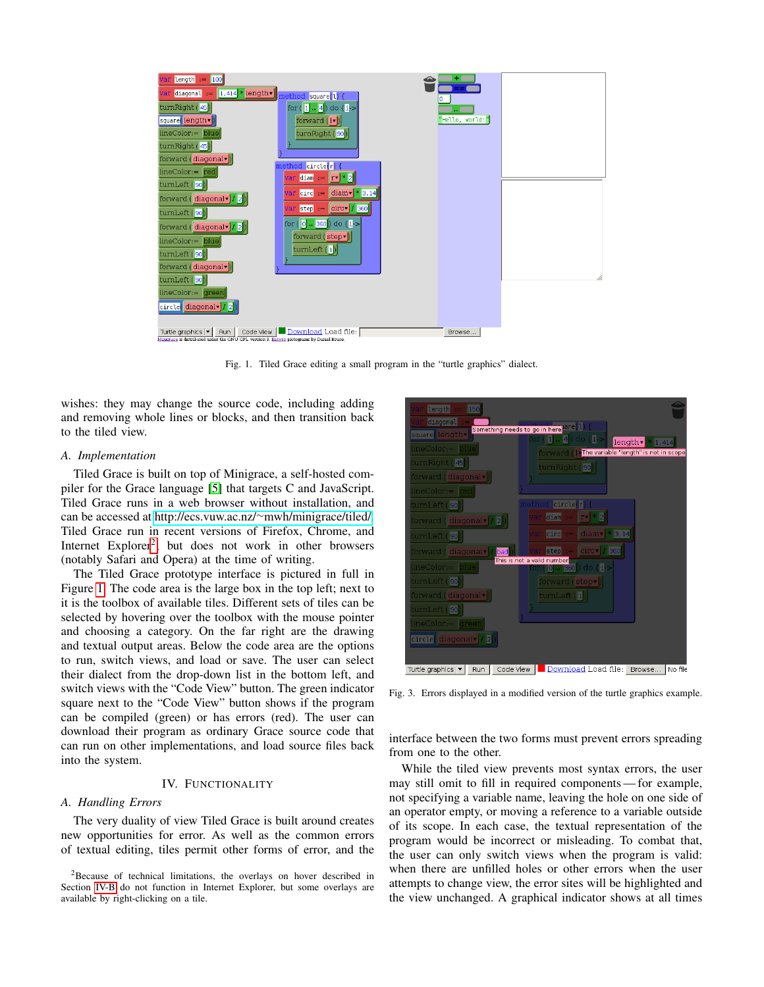

<span id="page-1-0"></span>Fig. 1. Tiled Grace editing a small program in the "turtle graphics" dialect.

wishes: they may change the source code, including adding and removing whole lines or blocks, and then transition back to the tiled view.

# *A. Implementation*

Tiled Grace is built on top of Minigrace, a self-hosted compiler for the Grace language [\[5\]](#page-3-5) that targets C and JavaScript. Tiled Grace runs in a web browser without installation, and can be accessed at http://ecs.vuw.ac.nz/<sup>∼</sup>[mwh/minigrace/tiled/.](http://ecs.vuw.ac.nz/~mwh/minigrace/tiled/) Tiled Grace run in recent versions of Firefox, Chrome, and Internet Explorer<sup>[2](#page-0-1)</sup>, but does not work in other browsers (notably Safari and Opera) at the time of writing.

The Tiled Grace prototype interface is pictured in full in Figure [1.](#page-1-0) The code area is the large box in the top left; next to it is the toolbox of available tiles. Different sets of tiles can be selected by hovering over the toolbox with the mouse pointer and choosing a category. On the far right are the drawing and textual output areas. Below the code area are the options to run, switch views, and load or save. The user can select their dialect from the drop-down list in the bottom left, and switch views with the "Code View" button. The green indicator square next to the "Code View" button shows if the program can be compiled (green) or has errors (red). The user can download their program as ordinary Grace source code that can run on other implementations, and load source files back into the system.

# IV. FUNCTIONALITY

#### *A. Handling Errors*

The very duality of view Tiled Grace is built around creates new opportunities for error. As well as the common errors of textual editing, tiles permit other forms of error, and the



<span id="page-1-1"></span>Fig. 3. Errors displayed in a modified version of the turtle graphics example.

interface between the two forms must prevent errors spreading from one to the other.

While the tiled view prevents most syntax errors, the user may still omit to fill in required components — for example, not specifying a variable name, leaving the hole on one side of an operator empty, or moving a reference to a variable outside of its scope. In each case, the textual representation of the program would be incorrect or misleading. To combat that, the user can only switch views when the program is valid: when there are unfilled holes or other errors when the user attempts to change view, the error sites will be highlighted and the view unchanged. A graphical indicator shows at all times

<sup>2</sup>Because of technical limitations, the overlays on hover described in Section [IV-B](#page-2-2) do not function in Internet Explorer, but some overlays are available by right-clicking on a tile.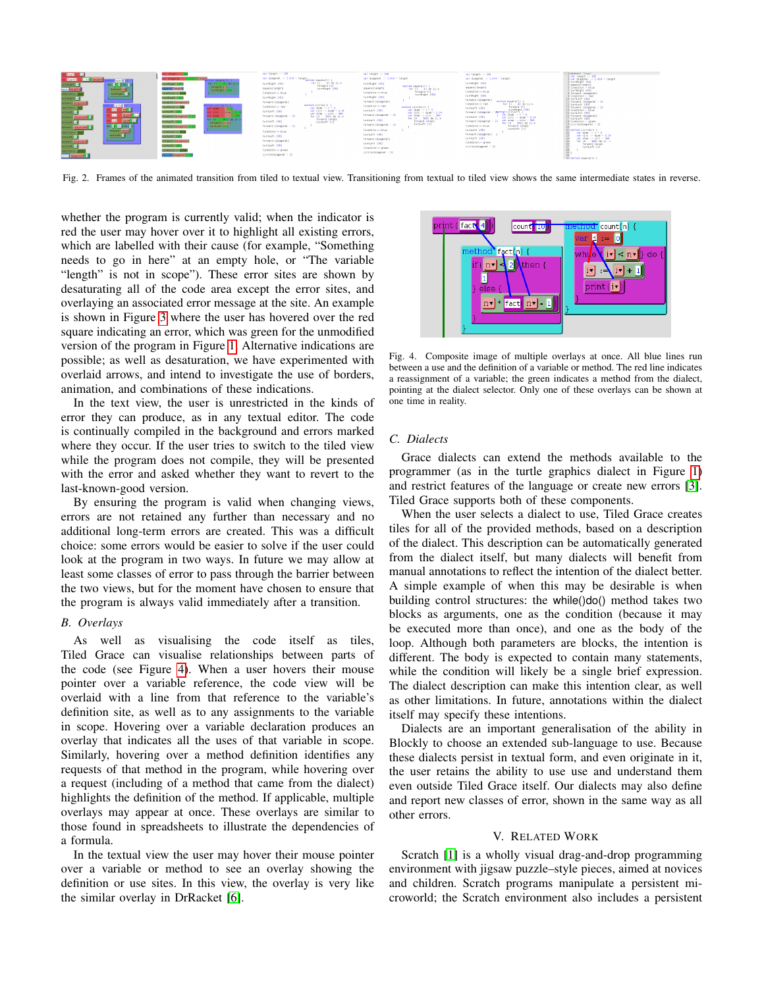

<span id="page-2-1"></span>Fig. 2. Frames of the animated transition from tiled to textual view. Transitioning from textual to tiled view shows the same intermediate states in reverse.

whether the program is currently valid; when the indicator is red the user may hover over it to highlight all existing errors, which are labelled with their cause (for example, "Something needs to go in here" at an empty hole, or "The variable "length" is not in scope"). These error sites are shown by desaturating all of the code area except the error sites, and overlaying an associated error message at the site. An example is shown in Figure [3](#page-1-1) where the user has hovered over the red square indicating an error, which was green for the unmodified version of the program in Figure [1.](#page-1-0) Alternative indications are possible; as well as desaturation, we have experimented with overlaid arrows, and intend to investigate the use of borders, animation, and combinations of these indications.

In the text view, the user is unrestricted in the kinds of error they can produce, as in any textual editor. The code is continually compiled in the background and errors marked where they occur. If the user tries to switch to the tiled view while the program does not compile, they will be presented with the error and asked whether they want to revert to the last-known-good version.

By ensuring the program is valid when changing views, errors are not retained any further than necessary and no additional long-term errors are created. This was a difficult choice: some errors would be easier to solve if the user could look at the program in two ways. In future we may allow at least some classes of error to pass through the barrier between the two views, but for the moment have chosen to ensure that the program is always valid immediately after a transition.

#### <span id="page-2-2"></span>*B. Overlays*

As well as visualising the code itself as tiles, Tiled Grace can visualise relationships between parts of the code (see Figure [4\)](#page-2-3). When a user hovers their mouse pointer over a variable reference, the code view will be overlaid with a line from that reference to the variable's definition site, as well as to any assignments to the variable in scope. Hovering over a variable declaration produces an overlay that indicates all the uses of that variable in scope. Similarly, hovering over a method definition identifies any requests of that method in the program, while hovering over a request (including of a method that came from the dialect) highlights the definition of the method. If applicable, multiple overlays may appear at once. These overlays are similar to those found in spreadsheets to illustrate the dependencies of a formula.

In the textual view the user may hover their mouse pointer over a variable or method to see an overlay showing the definition or use sites. In this view, the overlay is very like the similar overlay in DrRacket [\[6\]](#page-3-6).



Fig. 4. Composite image of multiple overlays at once. All blue lines run between a use and the definition of a variable or method. The red line indicates a reassignment of a variable; the green indicates a method from the dialect, pointing at the dialect selector. Only one of these overlays can be shown at one time in reality.

# <span id="page-2-3"></span>*C. Dialects*

Grace dialects can extend the methods available to the programmer (as in the turtle graphics dialect in Figure [1\)](#page-1-0) and restrict features of the language or create new errors [\[3\]](#page-3-3). Tiled Grace supports both of these components.

When the user selects a dialect to use, Tiled Grace creates tiles for all of the provided methods, based on a description of the dialect. This description can be automatically generated from the dialect itself, but many dialects will benefit from manual annotations to reflect the intention of the dialect better. A simple example of when this may be desirable is when building control structures: the while()do() method takes two blocks as arguments, one as the condition (because it may be executed more than once), and one as the body of the loop. Although both parameters are blocks, the intention is different. The body is expected to contain many statements, while the condition will likely be a single brief expression. The dialect description can make this intention clear, as well as other limitations. In future, annotations within the dialect itself may specify these intentions.

Dialects are an important generalisation of the ability in Blockly to choose an extended sub-language to use. Because these dialects persist in textual form, and even originate in it, the user retains the ability to use use and understand them even outside Tiled Grace itself. Our dialects may also define and report new classes of error, shown in the same way as all other errors.

#### V. RELATED WORK

<span id="page-2-0"></span>Scratch [\[1\]](#page-3-0) is a wholly visual drag-and-drop programming environment with jigsaw puzzle–style pieces, aimed at novices and children. Scratch programs manipulate a persistent microworld; the Scratch environment also includes a persistent